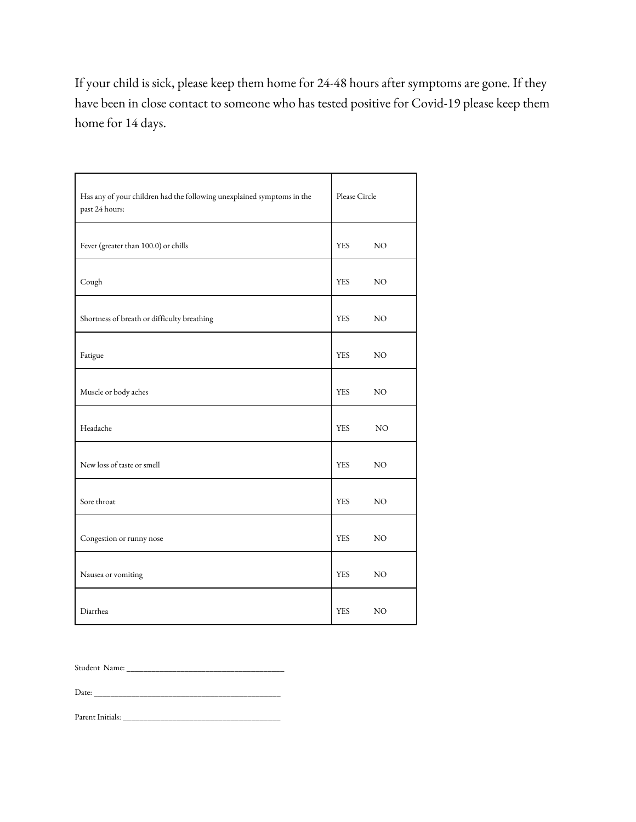If your child is sick, please keep them home for 24-48 hours after symptoms are gone. If they have been in close contact to someone who has tested positive for Covid-19 please keep them home for 14 days.

| Has any of your children had the following unexplained symptoms in the<br>past 24 hours: | Please Circle |                 |
|------------------------------------------------------------------------------------------|---------------|-----------------|
| Fever (greater than 100.0) or chills                                                     | <b>YES</b>    | $_{\rm NO}$     |
| Cough                                                                                    | <b>YES</b>    | NO              |
| Shortness of breath or difficulty breathing                                              | <b>YES</b>    | $_{\rm NO}$     |
| Fatigue                                                                                  | <b>YES</b>    | NO              |
| Muscle or body aches                                                                     | <b>YES</b>    | $_{\rm NO}$     |
| Headache                                                                                 | <b>YES</b>    | NO              |
| New loss of taste or smell                                                               | <b>YES</b>    | $_{\rm NO}$     |
| Sore throat                                                                              | <b>YES</b>    | $\rm NO$        |
| Congestion or runny nose                                                                 | <b>YES</b>    | $_{\rm NO}$     |
| Nausea or vomiting                                                                       | <b>YES</b>    | NO              |
| Diarrhea                                                                                 | <b>YES</b>    | NO <sub>1</sub> |

Student Name: \_\_\_\_\_\_\_\_\_\_\_\_\_\_\_\_\_\_\_\_\_\_\_\_\_\_\_\_\_\_\_\_\_\_\_\_\_\_

Date: \_\_\_\_\_\_\_\_\_\_\_\_\_\_\_\_\_\_\_\_\_\_\_\_\_\_\_\_\_\_\_\_\_\_\_\_\_\_\_\_\_\_\_\_\_

Parent Initials: \_\_\_\_\_\_\_\_\_\_\_\_\_\_\_\_\_\_\_\_\_\_\_\_\_\_\_\_\_\_\_\_\_\_\_\_\_\_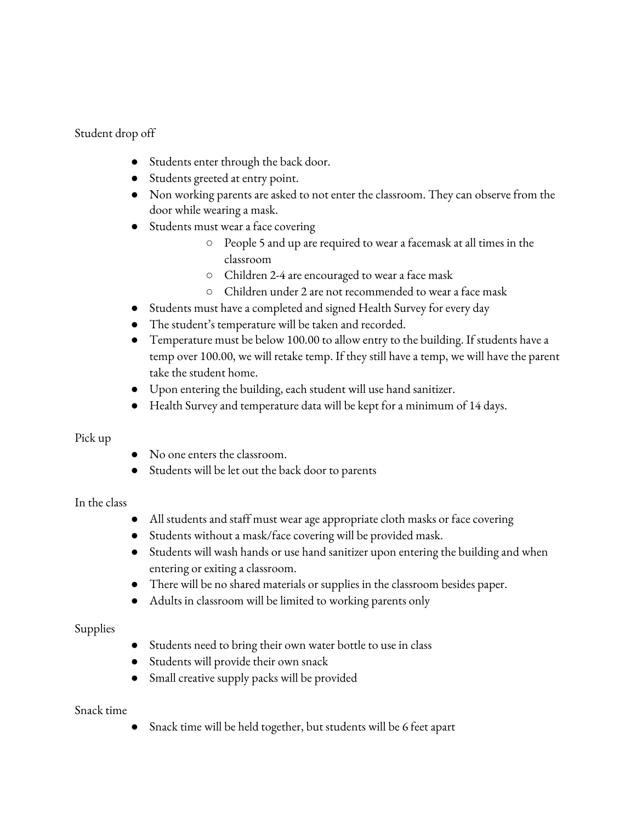# Student drop off

- Students enter through the back door.
- Students greeted at entry point.
- Non working parents are asked to not enter the classroom. They can observe from the door while wearing a mask.
- Students must wear a face covering
	- People 5 and up are required to wear a facemask at all times in the classroom
	- Children 2-4 are encouraged to wear a face mask
	- Children under 2 are not recommended to wear a face mask
- Students must have a completed and signed Health Survey for every day
- The student's temperature will be taken and recorded.
- Temperature must be below 100.00 to allow entry to the building. If students have a temp over 100.00, we will retake temp. If they still have a temp, we will have the parent take the student home.
- Upon entering the building, each student will use hand sanitizer.
- Health Survey and temperature data will be kept for a minimum of 14 days.

## Pick up

- No one enters the classroom.
- Students will be let out the back door to parents

## In the class

- All students and staff must wear age appropriate cloth masks or face covering
- Students without a mask/face covering will be provided mask.
- Students will wash hands or use hand sanitizer upon entering the building and when entering or exiting a classroom.
- There will be no shared materials or supplies in the classroom besides paper.
- Adults in classroom will be limited to working parents only

## Supplies

- Students need to bring their own water bottle to use in class
- Students will provide their own snack
- Small creative supply packs will be provided

## Snack time

● Snack time will be held together, but students will be 6 feet apart